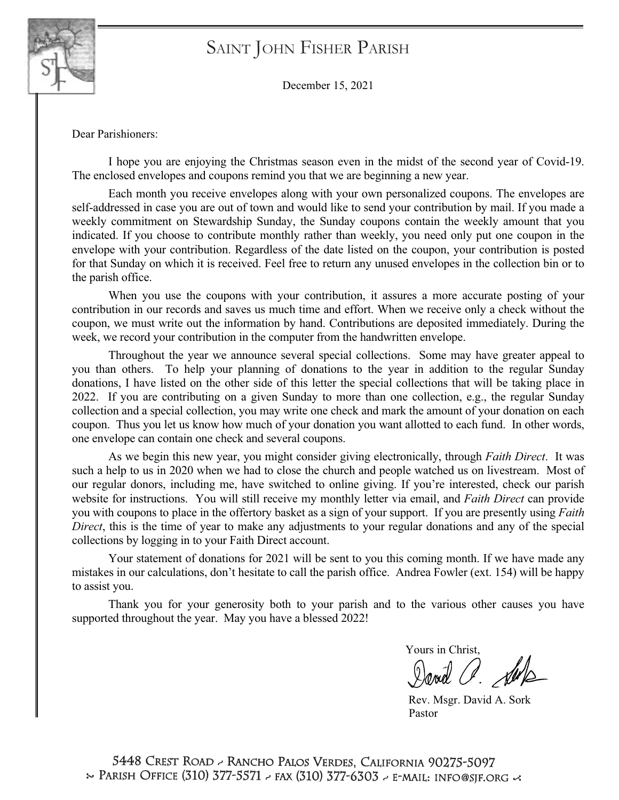

# Saint John Fisher Parish Saint John Fisher Parish

December 15, 2021

Dear Parishioners:

I hope you are enjoying the Christmas season even in the midst of the second year of Covid-19. The enclosed envelopes and coupons remind you that we are beginning a new year.

Each month you receive envelopes along with your own personalized coupons. The envelopes are self-addressed in case you are out of town and would like to send your contribution by mail. If you made a weekly commitment on Stewardship Sunday, the Sunday coupons contain the weekly amount that you indicated. If you choose to contribute monthly rather than weekly, you need only put one coupon in the envelope with your contribution. Regardless of the date listed on the coupon, your contribution is posted for that Sunday on which it is received. Feel free to return any unused envelopes in the collection bin or to the parish office.

When you use the coupons with your contribution, it assures a more accurate posting of your contribution in our records and saves us much time and effort. When we receive only a check without the coupon, we must write out the information by hand. Contributions are deposited immediately. During the week, we record your contribution in the computer from the handwritten envelope.

Throughout the year we announce several special collections. Some may have greater appeal to you than others. To help your planning of donations to the year in addition to the regular Sunday donations, I have listed on the other side of this letter the special collections that will be taking place in 2022. If you are contributing on a given Sunday to more than one collection, e.g., the regular Sunday collection and a special collection, you may write one check and mark the amount of your donation on each coupon. Thus you let us know how much of your donation you want allotted to each fund. In other words, one envelope can contain one check and several coupons.

As we begin this new year, you might consider giving electronically, through *Faith Direct*. It was such a help to us in 2020 when we had to close the church and people watched us on livestream. Most of our regular donors, including me, have switched to online giving. If you're interested, check our parish website for instructions. You will still receive my monthly letter via email, and *Faith Direct* can provide you with coupons to place in the offertory basket as a sign of your support. If you are presently using *Faith Direct*, this is the time of year to make any adjustments to your regular donations and any of the special collections by logging in to your Faith Direct account.

Your statement of donations for 2021 will be sent to you this coming month. If we have made any mistakes in our calculations, don't hesitate to call the parish office. Andrea Fowler (ext. 154) will be happy to assist you.

Thank you for your generosity both to your parish and to the various other causes you have supported throughout the year. May you have a blessed 2022!

Yours in Christ, David a. Sup

Rev. Msgr. David A. Sork Pastor